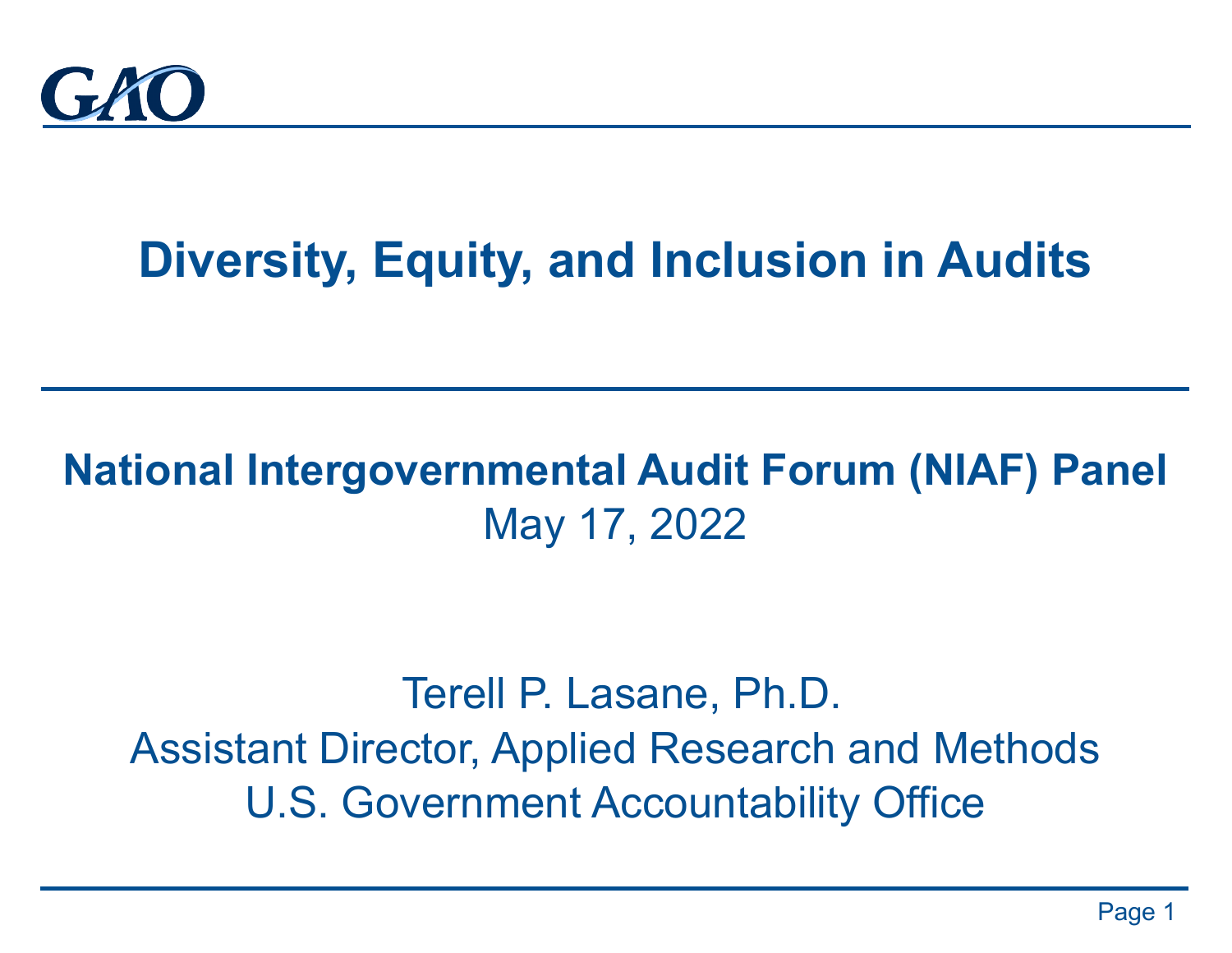

# **Diversity, Equity, and Inclusion in Audits**

### **National Intergovernmental Audit Forum (NIAF) Panel** May 17, 2022

### Terell P. Lasane, Ph.D. Assistant Director, Applied Research and Methods U.S. Government Accountability Office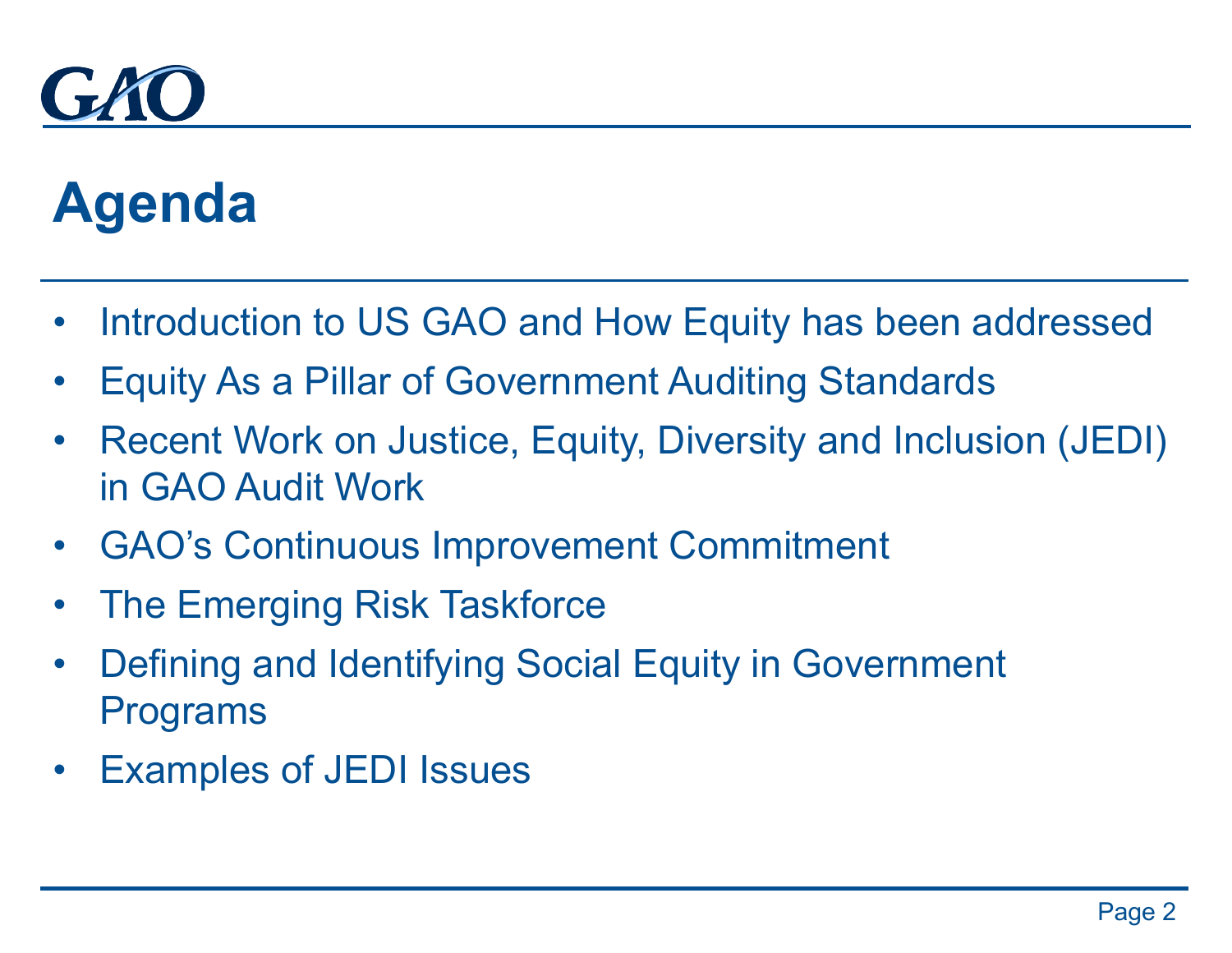

# **Agenda**

- Introduction to US GAO and How Equity has been addressed
- Equity As a Pillar of Government Auditing Standards
- Recent Work on Justice, Equity, Diversity and Inclusion (JEDI) in GAO Audit Work
- GAO's Continuous Improvement Commitment
- The Emerging Risk Taskforce
- Defining and Identifying Social Equity in Government Programs
- Examples of JEDI Issues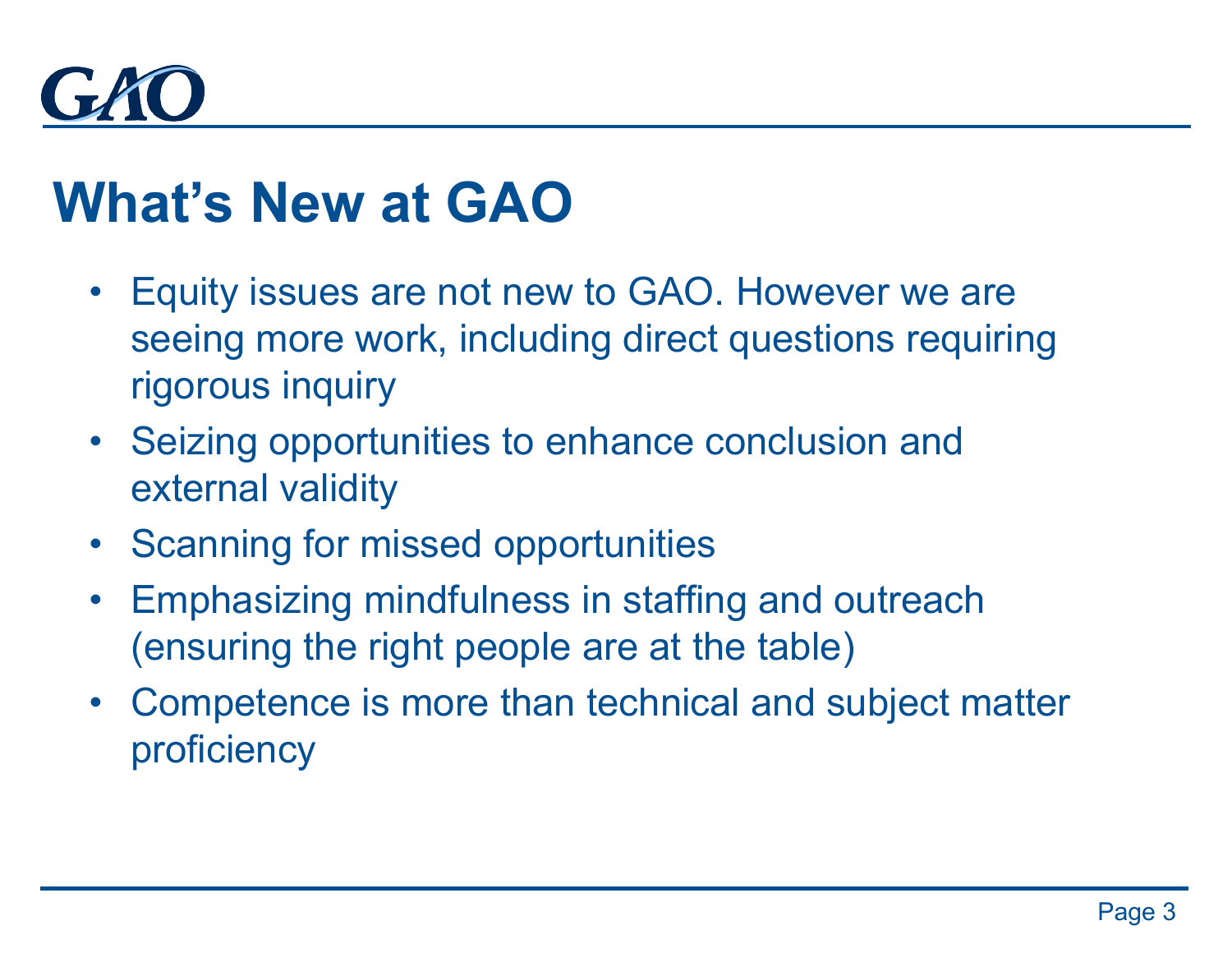

## **What's New at GAO**

- Equity issues are not new to GAO. However we are seeing more work, including direct questions requiring rigorous inquiry
- Seizing opportunities to enhance conclusion and external validity
- Scanning for missed opportunities
- Emphasizing mindfulness in staffing and outreach (ensuring the right people are at the table)
- Competence is more than technical and subject matter proficiency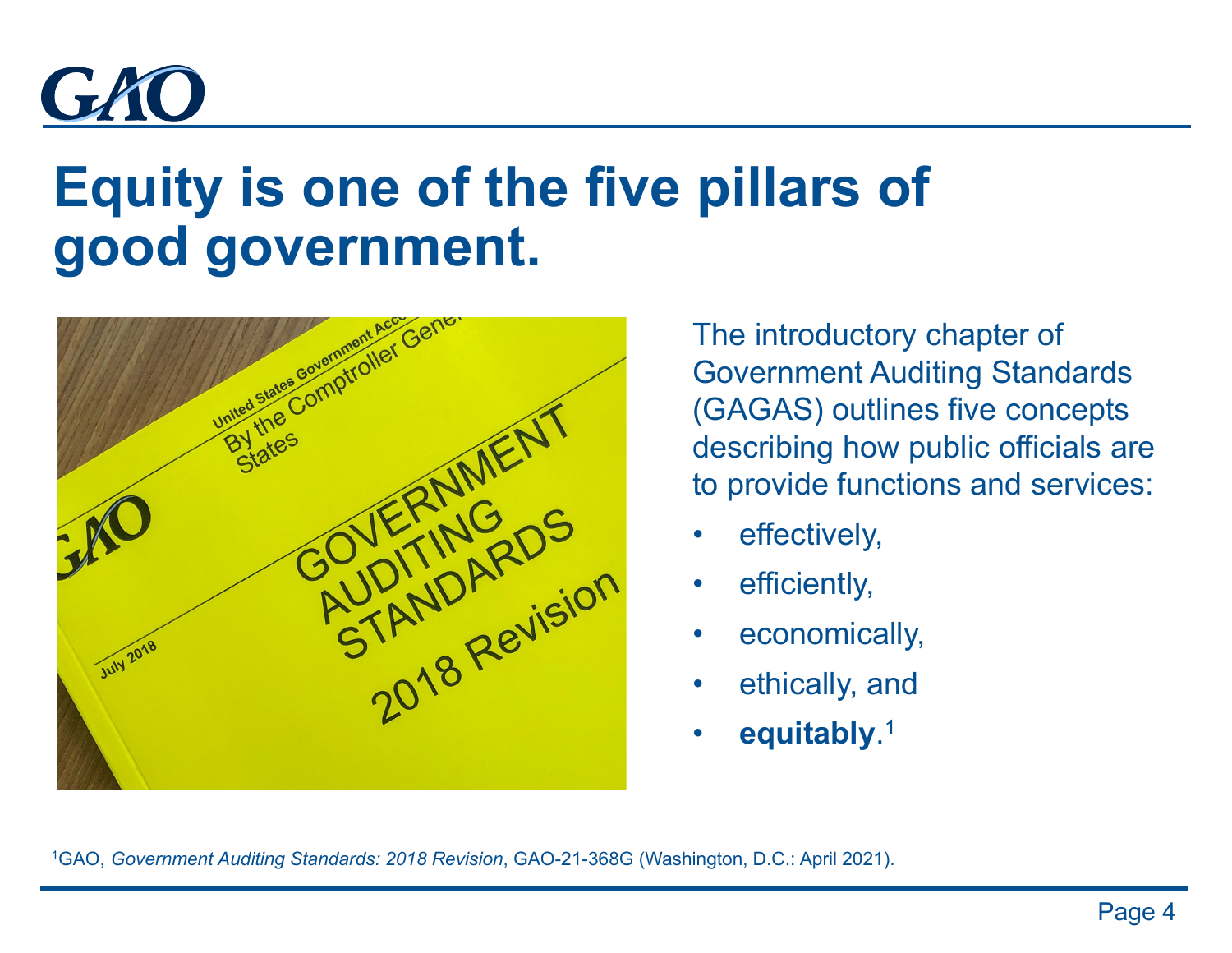

# **Equity is one of the five pillars of good government.**



The introductory chapter of Government Auditing Standards (GAGAS) outlines five concepts describing how public officials are to provide functions and services:

- effectively,
- efficiently,
- economically,
- ethically, and
- **equitably**. 1

1GAO, *Government Auditing Standards: 2018 Revision*, GAO-21-368G (Washington, D.C.: April 2021).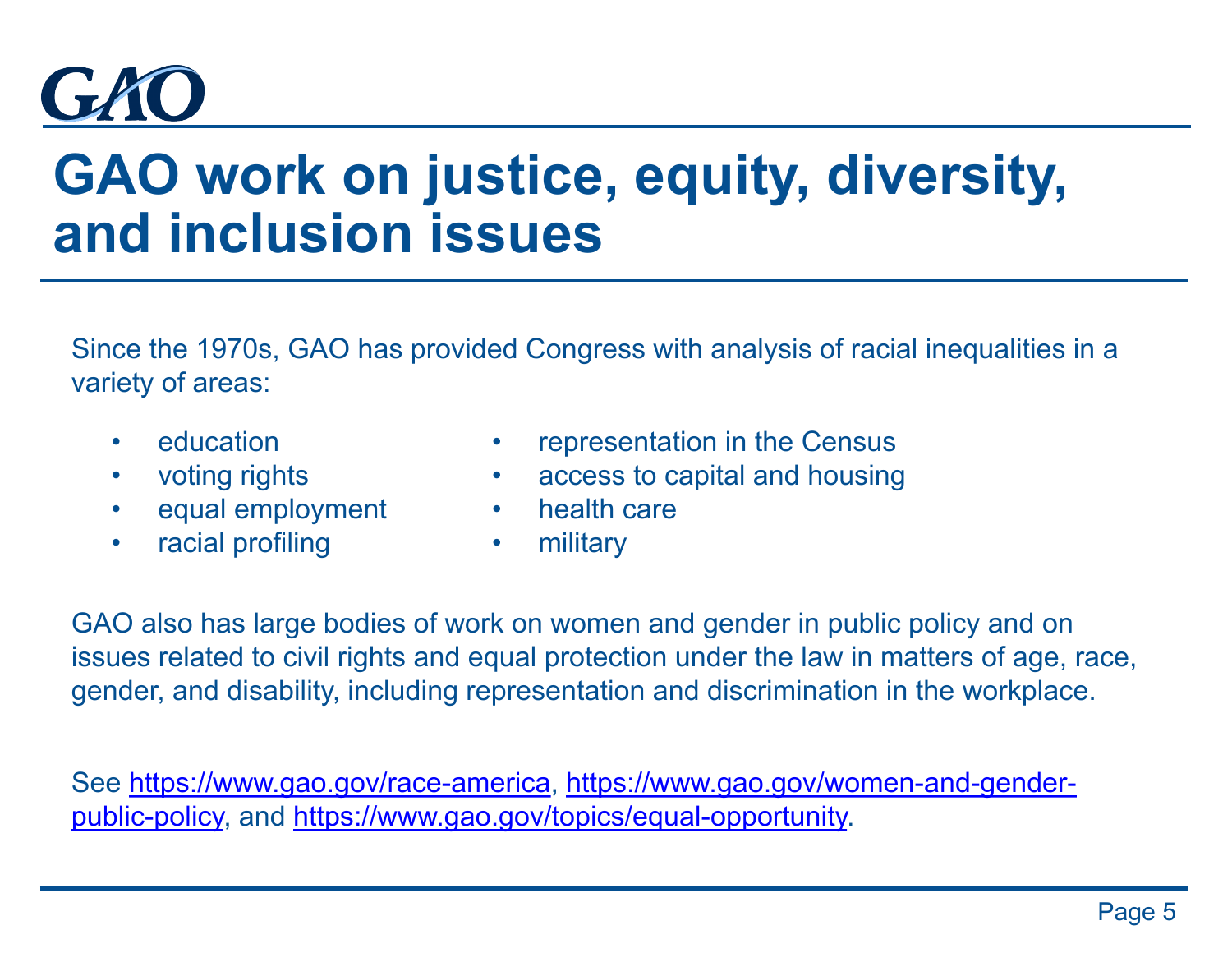

# **GAO work on justice, equity, diversity, and inclusion issues**

Since the 1970s, GAO has provided Congress with analysis of racial inequalities in a variety of areas:

- **education**
- voting rights
- equal employment
- racial profiling
- representation in the Census
- access to capital and housing
- health care
- military

GAO also has large bodies of work on women and gender in public policy and on issues related to civil rights and equal protection under the law in matters of age, race, gender, and disability, including representation and discrimination in the workplace.

[See https://www.gao.gov/race-america, https://www.gao.gov/women-and-gender](https://www.gao.gov/women-and-gender-public-policy)public-policy, and [https://www.gao.gov/topics/equal-opportunity.](https://www.gao.gov/topics/equal-opportunity)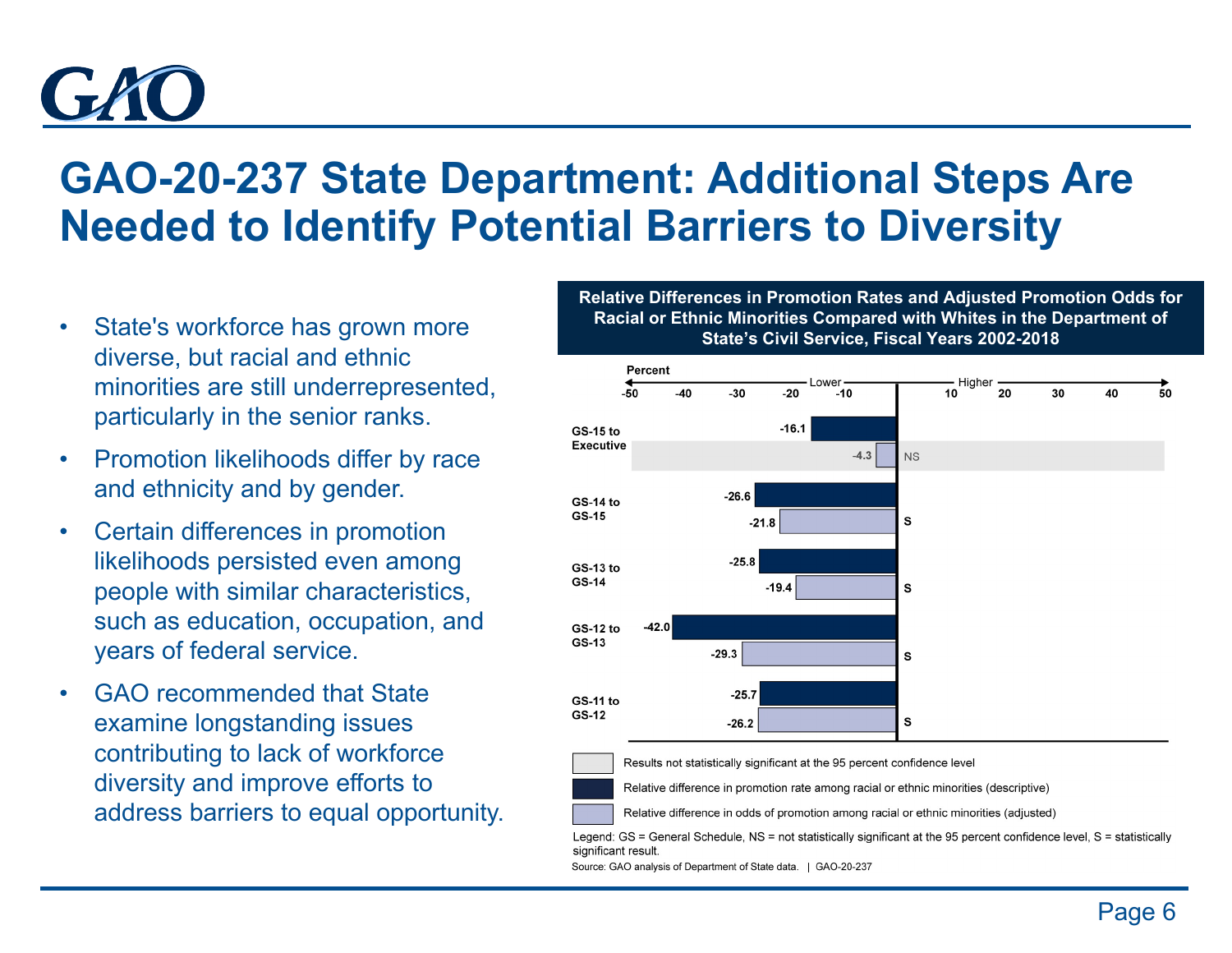

### **GAO-20-237 State Department: Additional Steps Are Needed to Identify Potential Barriers to Diversity**

- State's workforce has grown more diverse, but racial and ethnic minorities are still underrepresented, particularly in the senior ranks.
- Promotion likelihoods differ by race and ethnicity and by gender.
- Certain differences in promotion likelihoods persisted even among people with similar characteristics, such as education, occupation, and years of federal service.
- GAO recommended that State examine longstanding issues contributing to lack of workforce diversity and improve efforts to address barriers to equal opportunity.

**Relative Differences in Promotion Rates and Adjusted Promotion Odds for Racial or Ethnic Minorities Compared with Whites in the Department of State's Civil Service, Fiscal Years 2002-2018**



Results not statistically significant at the 95 percent confidence level

Relative difference in promotion rate among racial or ethnic minorities (descriptive)

Relative difference in odds of promotion among racial or ethnic minorities (adjusted)

Legend: GS = General Schedule, NS = not statistically significant at the 95 percent confidence level, S = statistically significant result.

Source: GAO analysis of Department of State data. | GAO-20-237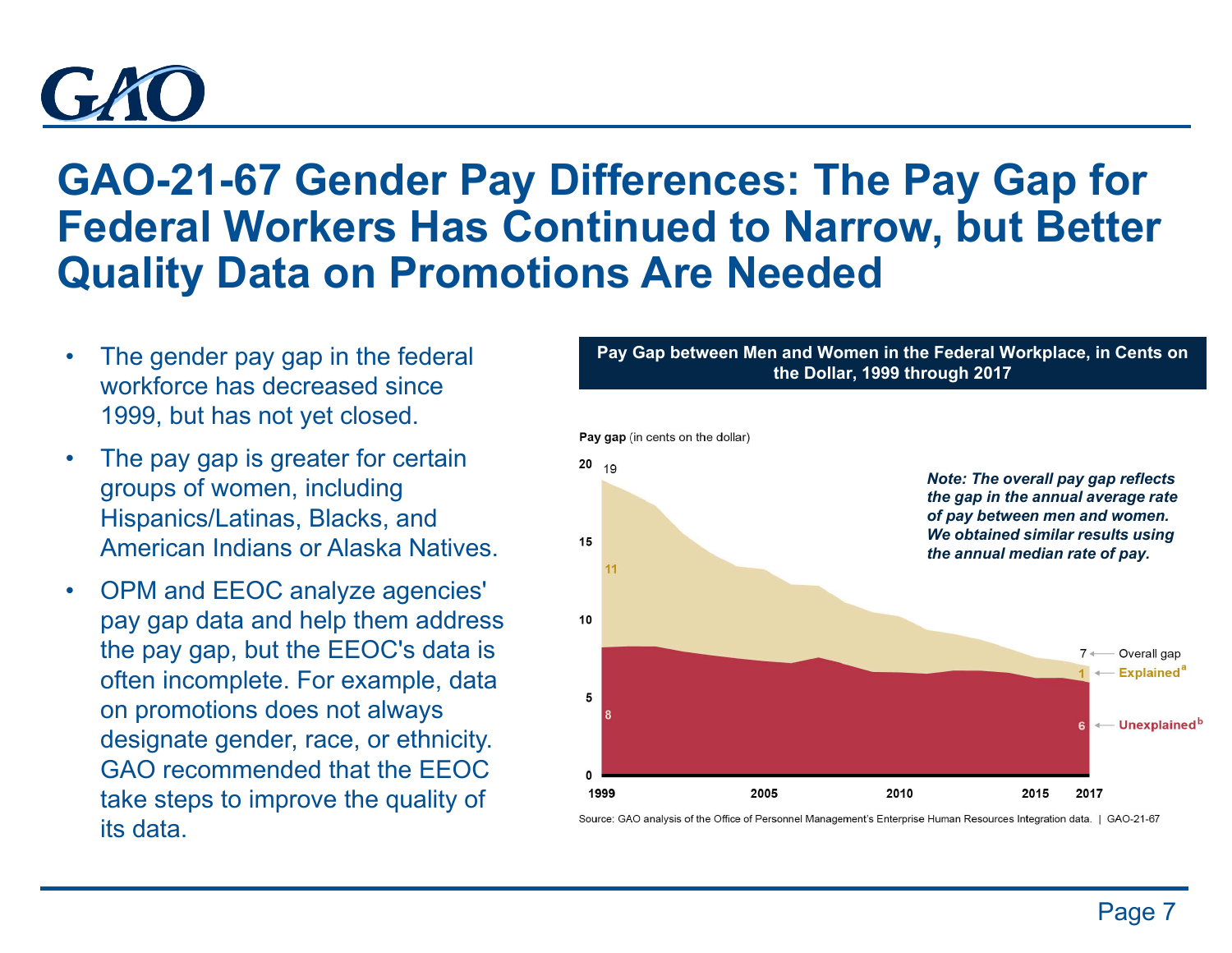# $GLM$

### **GAO-21-67 Gender Pay Differences: The Pay Gap for Federal Workers Has Continued to Narrow, but Better Quality Data on Promotions Are Needed**

- The gender pay gap in the federal workforce has decreased since 1999, but has not yet closed.
- The pay gap is greater for certain groups of women, including Hispanics/Latinas, Blacks, and American Indians or Alaska Natives.
- OPM and EEOC analyze agencies' pay gap data and help them address the pay gap, but the EEOC's data is often incomplete. For example, data on promotions does not always designate gender, race, or ethnicity. GAO recommended that the EEOC take steps to improve the quality of its data.

**Pay Gap between Men and Women in the Federal Workplace, in Cents on the Dollar, 1999 through 2017**



Source: GAO analysis of the Office of Personnel Management's Enterprise Human Resources Integration data. | GAO-21-67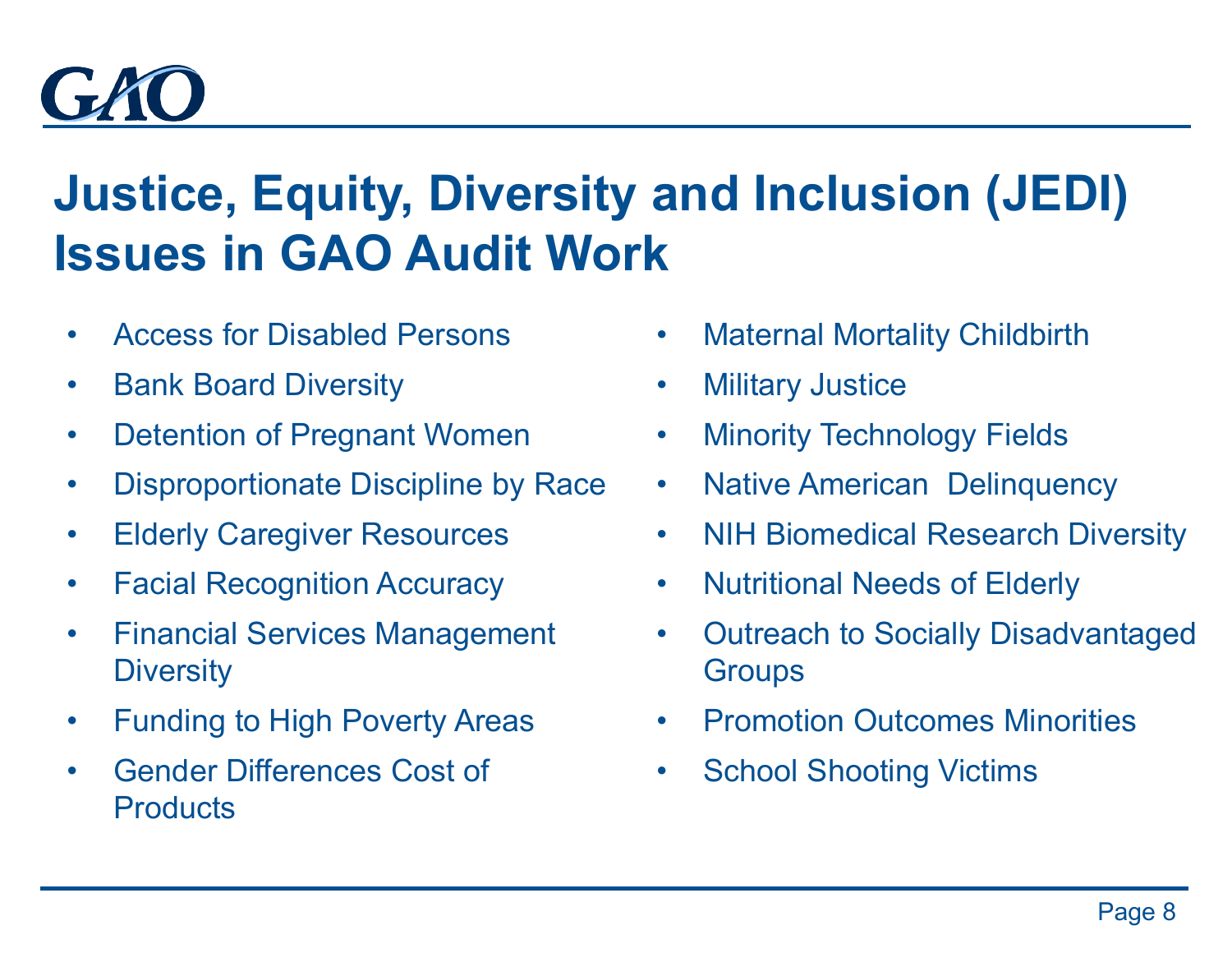

## **Justice, Equity, Diversity and Inclusion (JEDI) Issues in GAO Audit Work**

- Access for Disabled Persons
- Bank Board Diversity
- Detention of Pregnant Women
- Disproportionate Discipline by Race
- Elderly Caregiver Resources
- Facial Recognition Accuracy
- Financial Services Management **Diversity**
- Funding to High Poverty Areas
- Gender Differences Cost of **Products**
- **Maternal Mortality Childbirth**
- Military Justice
- Minority Technology Fields
- Native American Delinquency
- NIH Biomedical Research Diversity
- Nutritional Needs of Elderly
- Outreach to Socially Disadvantaged **Groups**
- Promotion Outcomes Minorities
- School Shooting Victims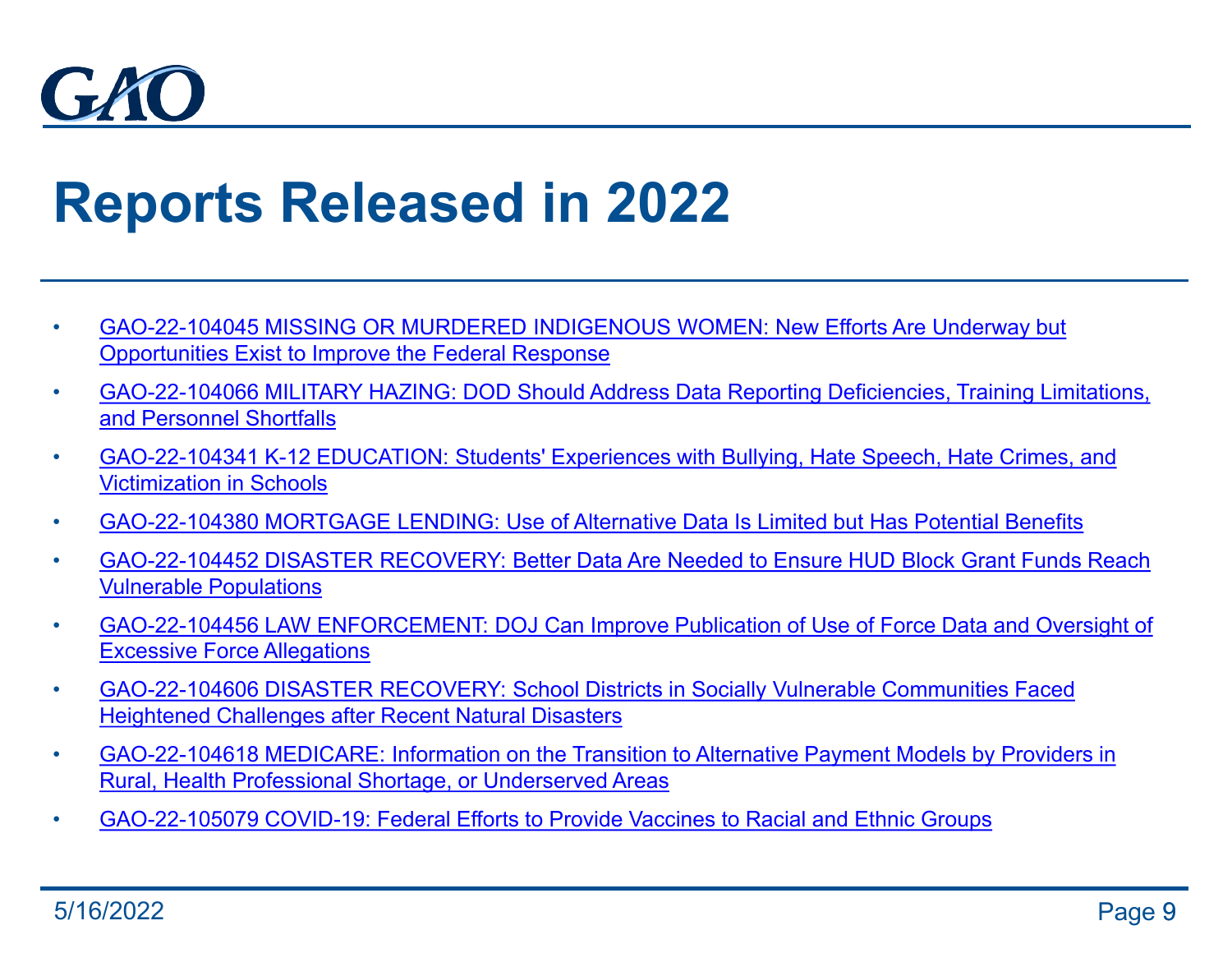

# **Reports Released in 2022**

- [GAO-22-104045 MISSING OR MURDERED INDIGENOUS WOMEN: New Efforts Are Underway but](http://www.gao.gov/products/gao-22-104045)  Opportunities Exist to Improve the Federal Response
- [GAO-22-104066 MILITARY HAZING: DOD Should Address Data Reporting Deficiencies, Training Limitations,](http://www.gao.gov/products/gao-22-104066)  and Personnel Shortfalls
- [GAO-22-104341 K-12 EDUCATION: Students' Experiences with Bullying, Hate Speech, Hate Crimes, and](http://www.gao.gov/products/gao-22-104341)  Victimization in Schools
- [GAO-22-104380 MORTGAGE LENDING: Use of Alternative Data Is Limited but Has Potential Benefits](http://www.gao.gov/products/gao-22-104380)
- [GAO-22-104452 DISASTER RECOVERY: Better Data Are Needed to Ensure HUD Block Grant Funds Reach](http://www.gao.gov/products/gao-22-104452)  Vulnerable Populations
- [GAO-22-104456 LAW ENFORCEMENT: DOJ Can Improve Publication of Use of Force Data and Oversight of](http://www.gao.gov/products/gao-22-104456)  Excessive Force Allegations
- [GAO-22-104606 DISASTER RECOVERY: School Districts in Socially Vulnerable Communities Faced](http://www.gao.gov/products/gao-22-104606) Heightened Challenges after Recent Natural Disasters
- [GAO-22-104618 MEDICARE: Information on the Transition to Alternative Payment Models by Providers in](http://www.gao.gov/products/gao-22-104618) Rural, Health Professional Shortage, or Underserved Areas
- [GAO-22-105079 COVID-19: Federal Efforts to Provide Vaccines to Racial and Ethnic Groups](https://www.gao.gov/products/gao-22-105079)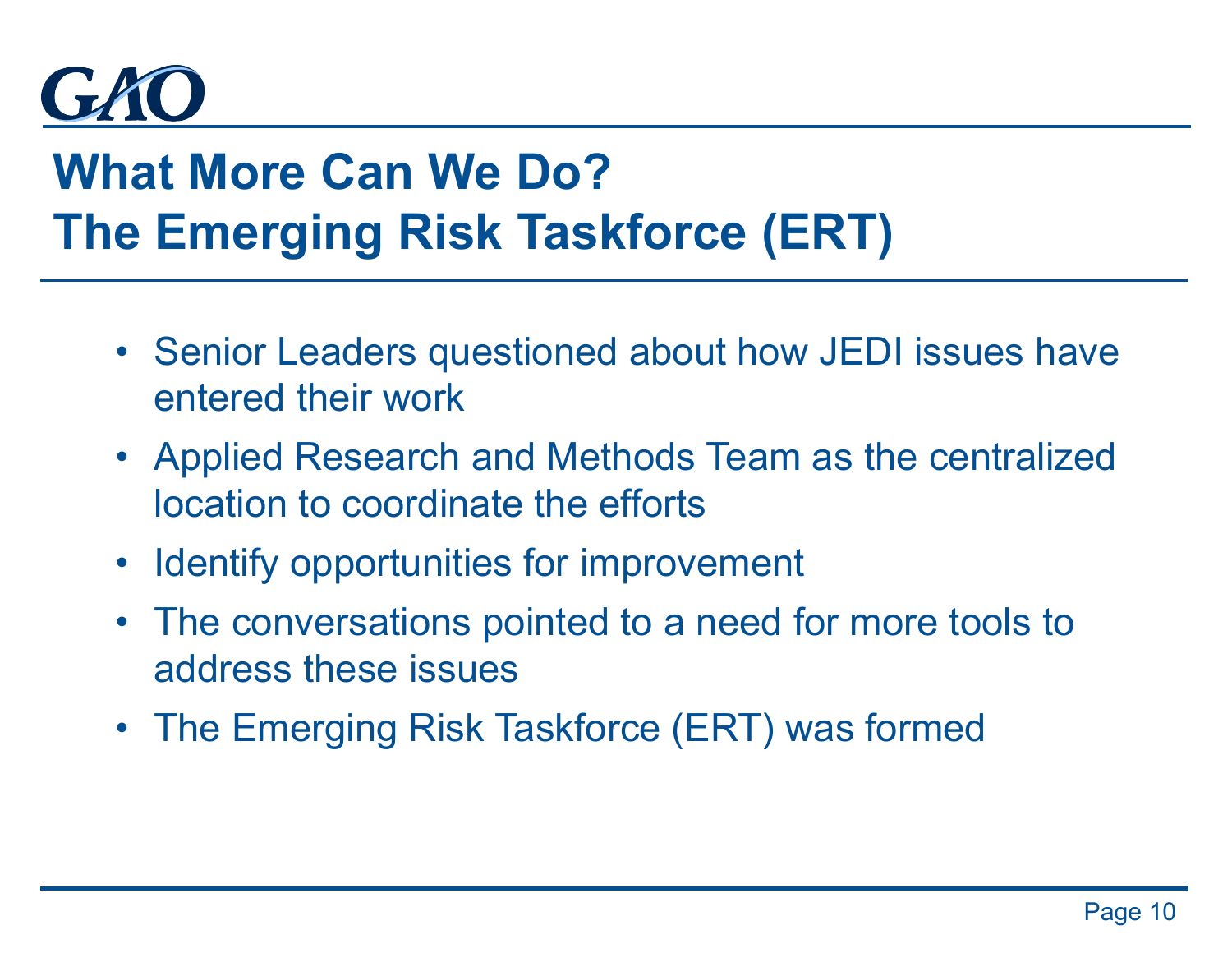

## **What More Can We Do? The Emerging Risk Taskforce (ERT)**

- Senior Leaders questioned about how JEDI issues have entered their work
- Applied Research and Methods Team as the centralized location to coordinate the efforts
- Identify opportunities for improvement
- The conversations pointed to a need for more tools to address these issues
- The Emerging Risk Taskforce (ERT) was formed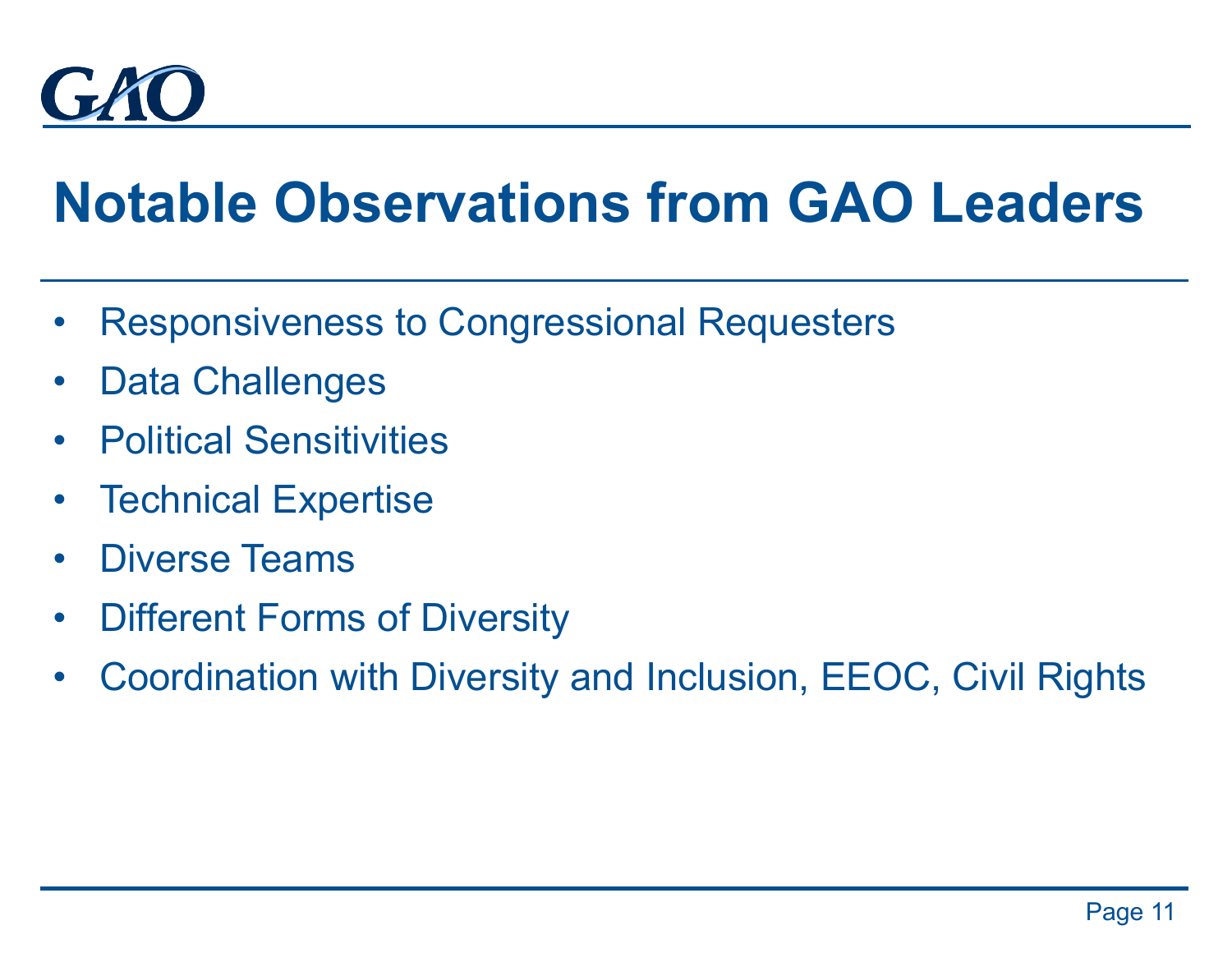

# **Notable Observations from GAO Leaders**

- Responsiveness to Congressional Requesters
- Data Challenges
- Political Sensitivities
- Technical Expertise
- Diverse Teams
- Different Forms of Diversity
- Coordination with Diversity and Inclusion, EEOC, Civil Rights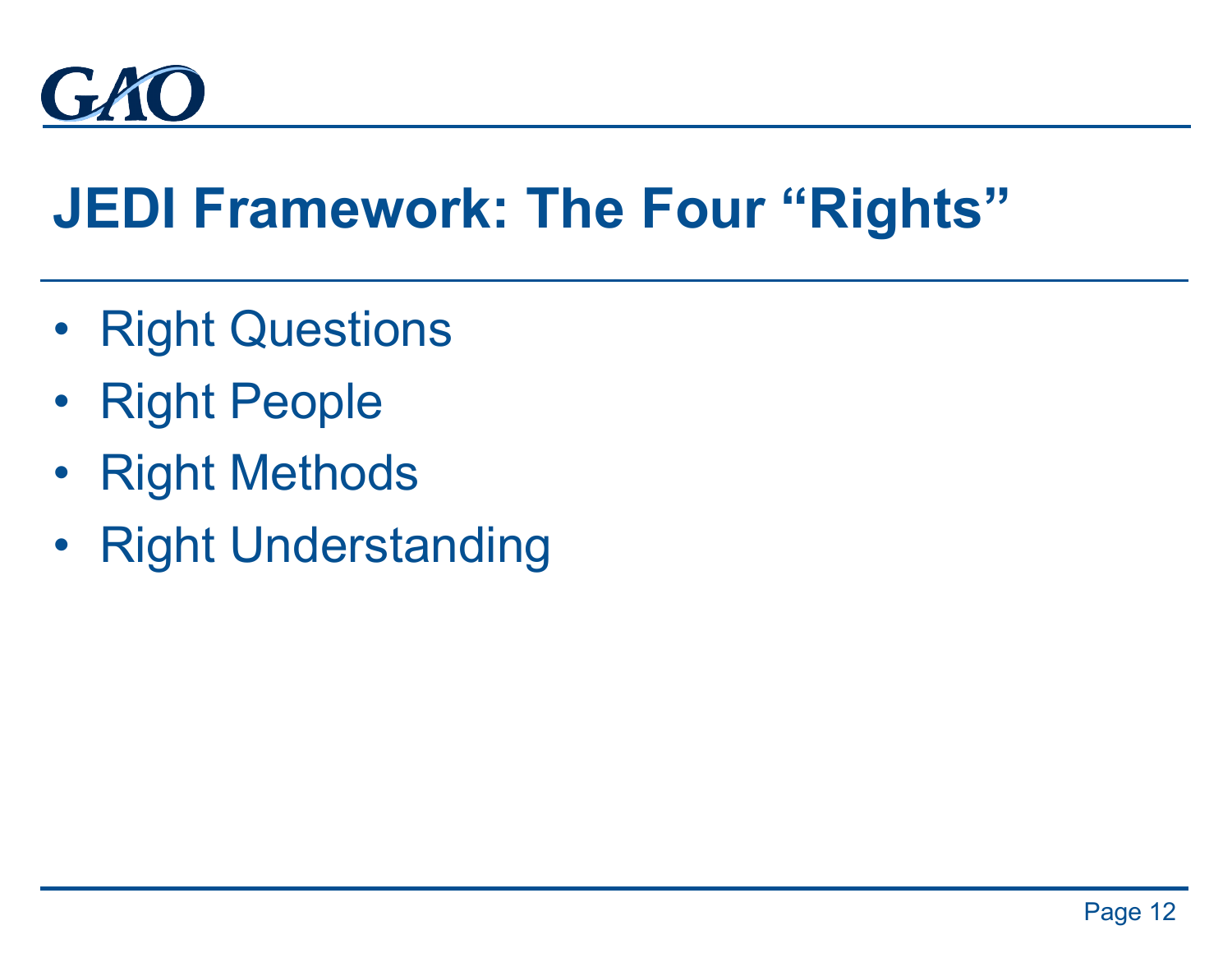

# **JEDI Framework: The Four "Rights"**

- Right Questions
- Right People
- Right Methods
- Right Understanding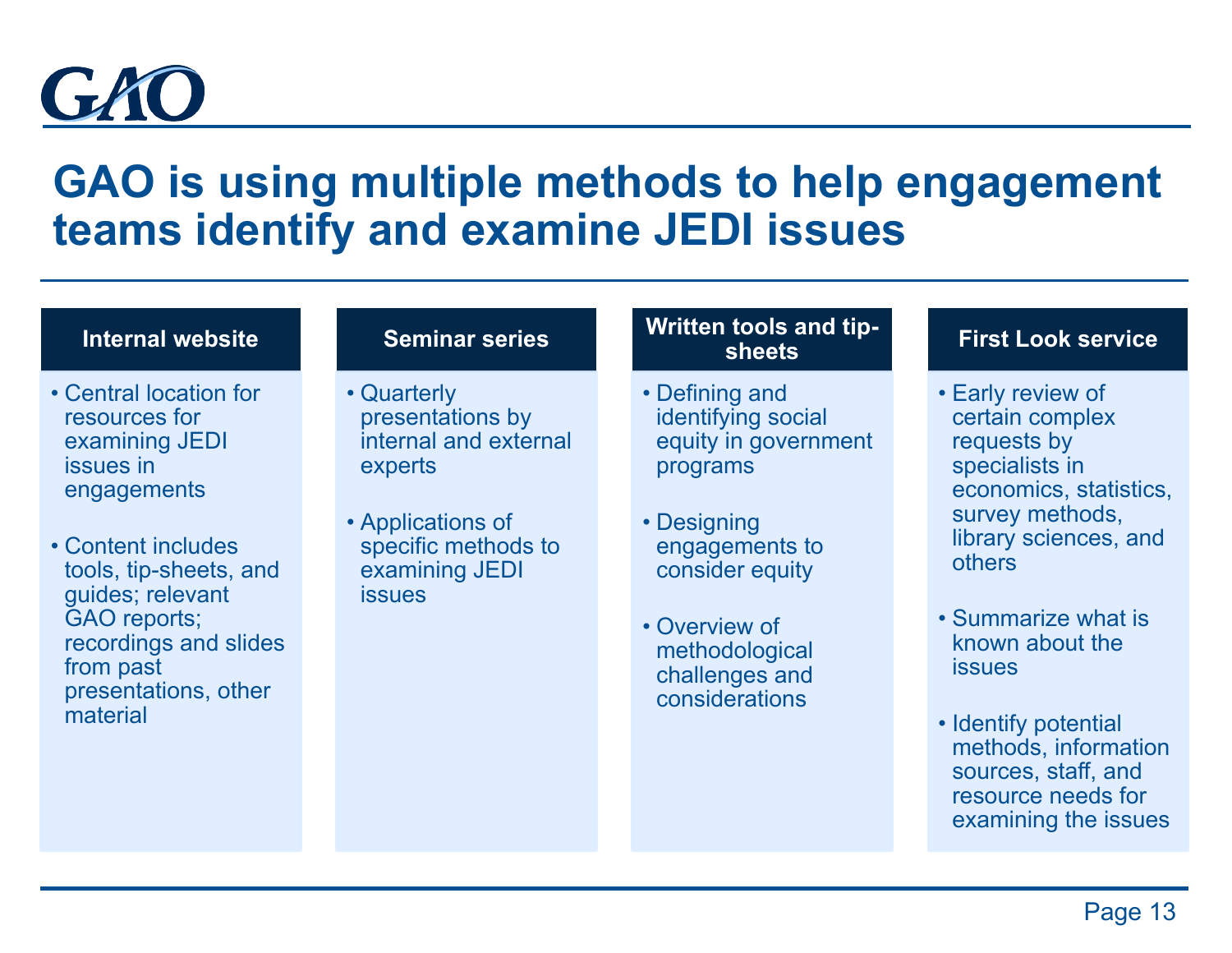

### **GAO is using multiple methods to help engagement teams identify and examine JEDI issues**

#### **Internal website**

- Central location for resources for examining JEDI issues in engagements
- Content includes tools, tip-sheets, and guides; relevant GAO reports; recordings and slides from past presentations, other material

#### **Seminar series**

- Quarterly presentations by internal and external experts
- Applications of specific methods to examining JEDI issues

#### **Written tools and tipsheets**

- Defining and identifying social equity in government programs
- Designing engagements to consider equity
- Overview of methodological challenges and considerations

#### **First Look service**

- Early review of certain complex requests by specialists in economics, statistics, survey methods, library sciences, and others
- Summarize what is known about the issues
- Identify potential methods, information sources, staff, and resource needs for examining the issues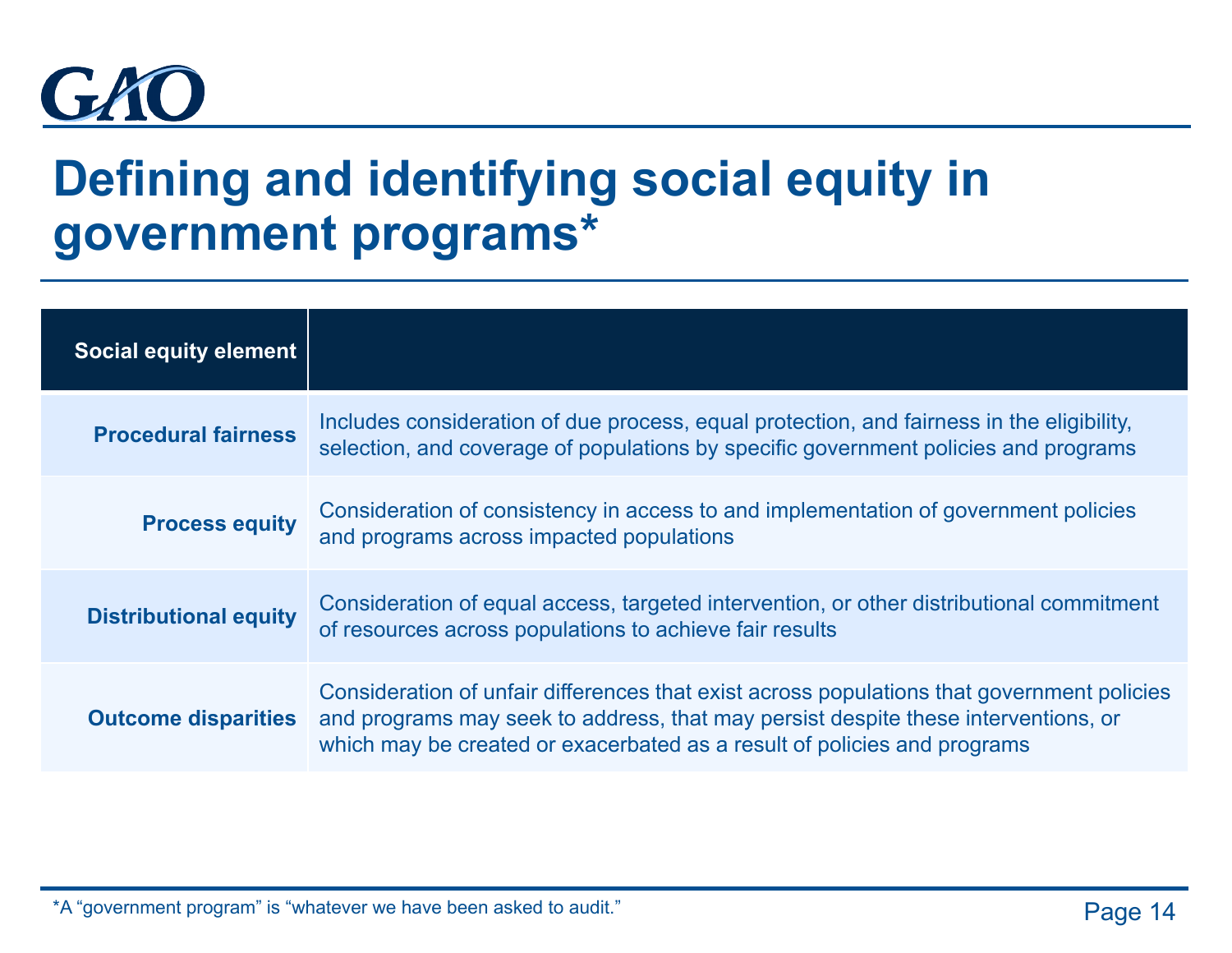

### **Defining and identifying social equity in government programs\***

| <b>Social equity element</b> |                                                                                                                                                                                                                                                              |
|------------------------------|--------------------------------------------------------------------------------------------------------------------------------------------------------------------------------------------------------------------------------------------------------------|
| <b>Procedural fairness</b>   | Includes consideration of due process, equal protection, and fairness in the eligibility,<br>selection, and coverage of populations by specific government policies and programs                                                                             |
| <b>Process equity</b>        | Consideration of consistency in access to and implementation of government policies<br>and programs across impacted populations                                                                                                                              |
| <b>Distributional equity</b> | Consideration of equal access, targeted intervention, or other distributional commitment<br>of resources across populations to achieve fair results                                                                                                          |
| <b>Outcome disparities</b>   | Consideration of unfair differences that exist across populations that government policies<br>and programs may seek to address, that may persist despite these interventions, or<br>which may be created or exacerbated as a result of policies and programs |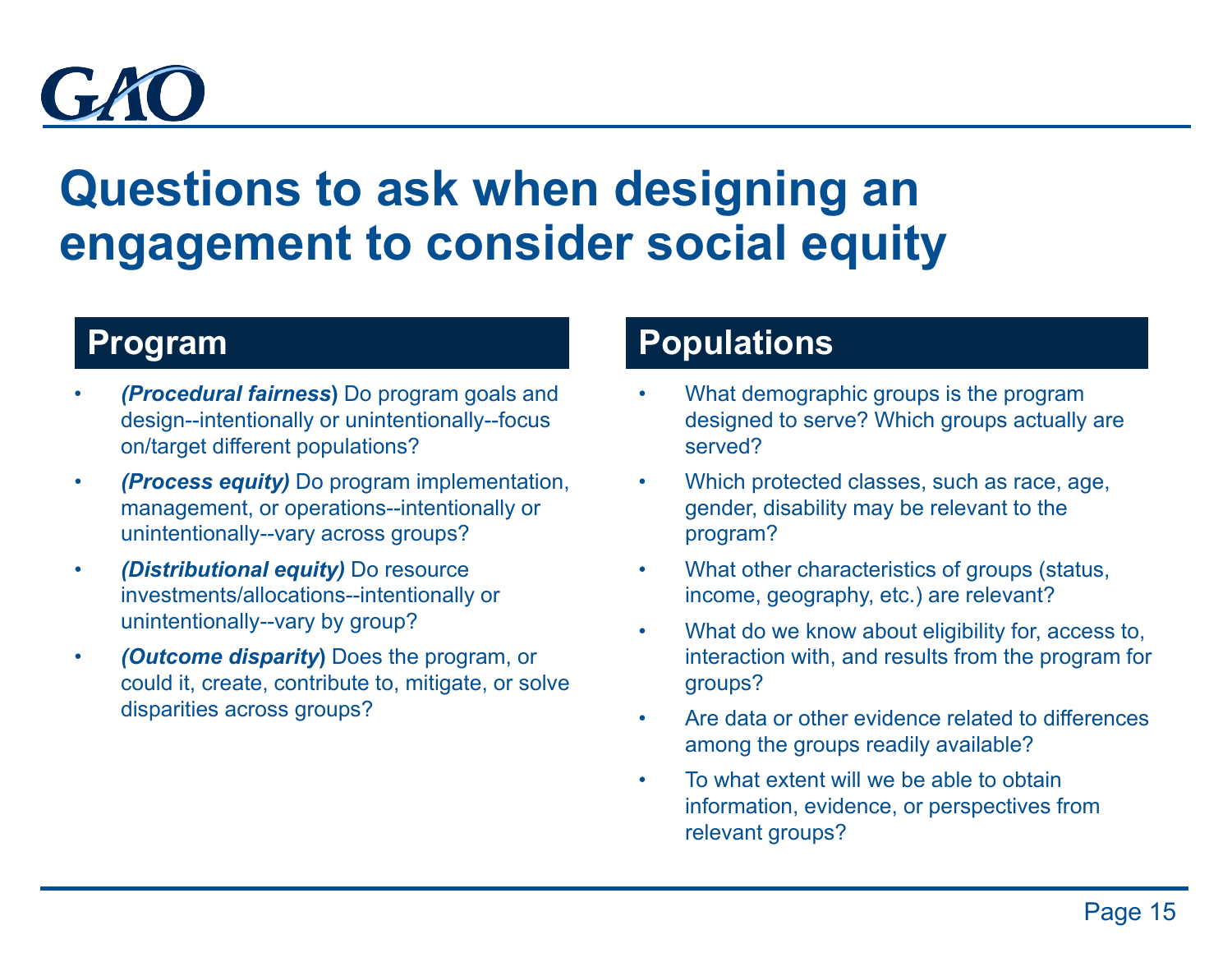

### **Questions to ask when designing an engagement to consider social equity**

### **Program**

- *(Procedural fairness***)** Do program goals and design--intentionally or unintentionally--focus on/target different populations?
- *(Process equity)* Do program implementation, management, or operations--intentionally or unintentionally--vary across groups?
- *(Distributional equity)* Do resource investments/allocations--intentionally or unintentionally--vary by group?
- *(Outcome disparity***)** Does the program, or could it, create, contribute to, mitigate, or solve disparities across groups?

### **Populations**

- What demographic groups is the program designed to serve? Which groups actually are served?
- Which protected classes, such as race, age, gender, disability may be relevant to the program?
- What other characteristics of groups (status, income, geography, etc.) are relevant?
- What do we know about eligibility for, access to, interaction with, and results from the program for groups?
- Are data or other evidence related to differences among the groups readily available?
- To what extent will we be able to obtain information, evidence, or perspectives from relevant groups?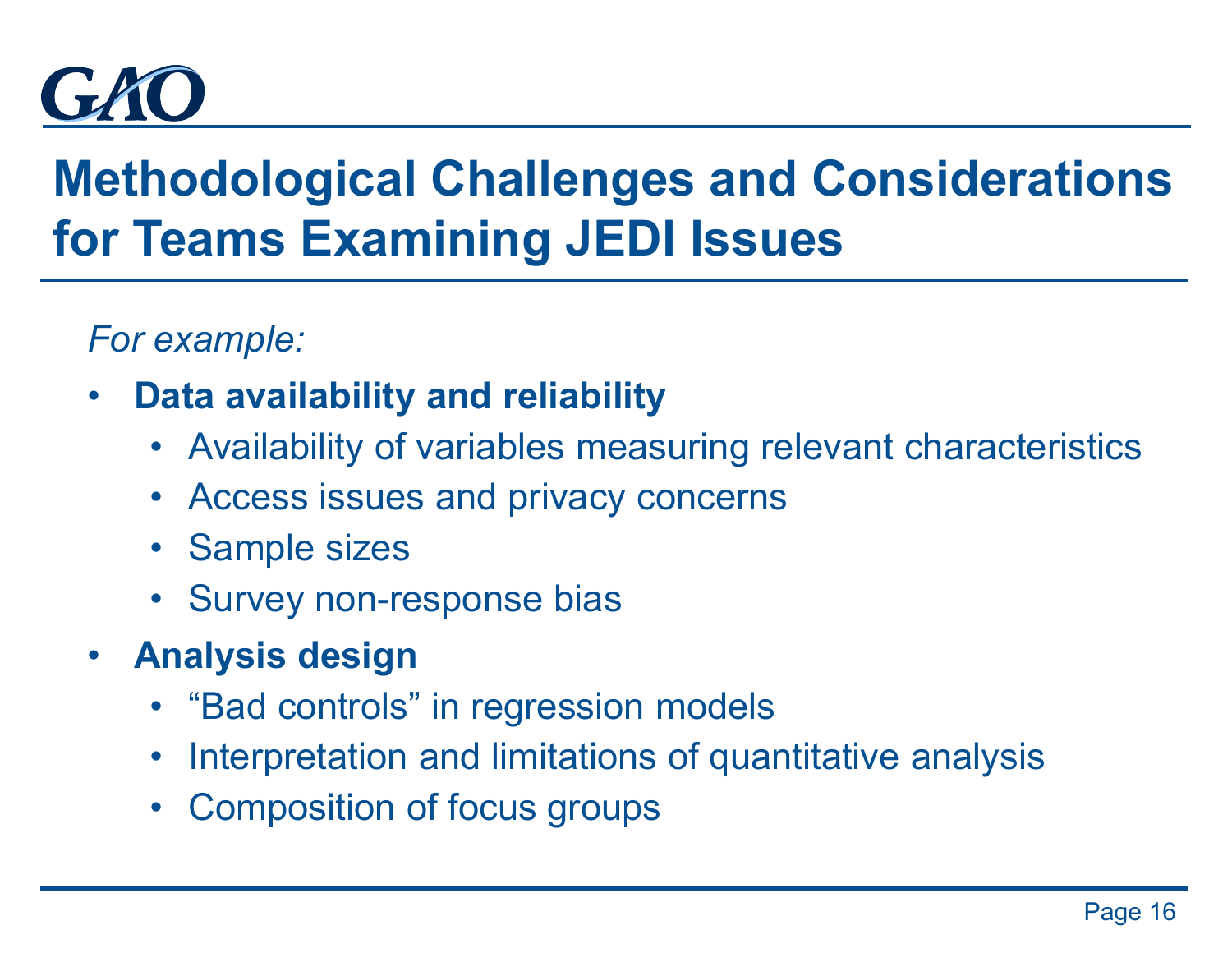

## **Methodological Challenges and Considerations for Teams Examining JEDI Issues**

*For example:*

- **Data availability and reliability**
	- Availability of variables measuring relevant characteristics
	- Access issues and privacy concerns
	- Sample sizes
	- Survey non-response bias
- **Analysis design**
	- "Bad controls" in regression models
	- Interpretation and limitations of quantitative analysis
	- Composition of focus groups